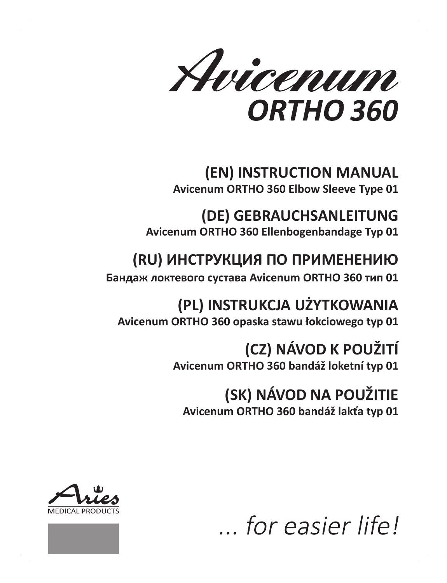Avicenum ORTHO 360

**(EN) INSTRUCTION MANUAL Avicenum ORTHO 360 Elbow Sleeve Type 01**

**(DE) GEBRAUCHSANLEITUNG Avicenum ORTHO 360 Ellenbogenbandage Typ 01**

# **(RU) ИНСТРУКЦИЯ ПО ПРИМЕНЕНИЮ**

**Бандаж локтевого сустава Avicenum ORTHO 360 тип 01**

**(PL) INSTRUKCJA UŻYTKOWANIA Avicenum ORTHO 360 opaska stawu łokciowego typ 01**

# **(CZ) NÁVOD K POUŽITÍ**

**Avicenum ORTHO 360 bandáž loketní typ 01**

# **(SK) NÁVOD NA POUŽITIE**

**Avicenum ORTHO 360 bandáž lakťa typ 01**





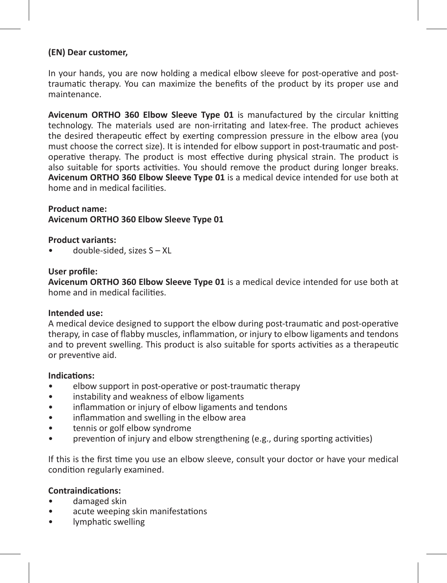#### **(EN) Dear customer,**

In your hands, you are now holding a medical elbow sleeve for post-operative and posttraumatic therapy. You can maximize the benefits of the product by its proper use and maintenance.

**Avicenum ORTHO 360 Elbow Sleeve Type 01** is manufactured by the circular knitting technology. The materials used are non-irritating and latex-free. The product achieves the desired therapeutic effect by exerting compression pressure in the elbow area (you must choose the correct size). It is intended for elbow support in post-traumatic and postoperative therapy. The product is most effective during physical strain. The product is also suitable for sports activities. You should remove the product during longer breaks. **Avicenum ORTHO 360 Elbow Sleeve Type 01** is a medical device intended for use both at home and in medical facilities.

#### **Product name: Avicenum ORTHO 360 Elbow Sleeve Type 01**

**Product variants:**

• double-sided, sizes S – XL

#### **User profile:**

**Avicenum ORTHO 360 Elbow Sleeve Type 01** is a medical device intended for use both at home and in medical facilities.

#### **Intended use:**

A medical device designed to support the elbow during post-traumatic and post-operative therapy, in case of flabby muscles, inflammation, or injury to elbow ligaments and tendons and to prevent swelling. This product is also suitable for sports activities as a therapeutic or preventive aid.

#### **Indications:**

- elbow support in post-operative or post-traumatic therapy
- instability and weakness of elbow ligaments
- inflammation or injury of elbow ligaments and tendons
- inflammation and swelling in the elbow area
- tennis or golf elbow syndrome
- prevention of injury and elbow strengthening (e.g., during sporting activities)

If this is the first time you use an elbow sleeve, consult your doctor or have your medical condition regularly examined.

#### **Contraindications:**

- damaged skin
- acute weeping skin manifestations
- lymphatic swelling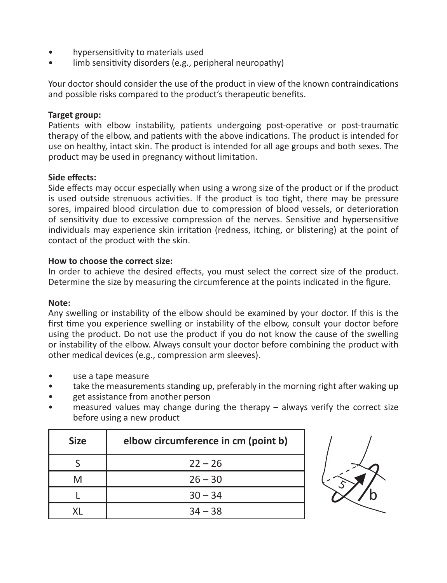- hypersensitivity to materials used
- limb sensitivity disorders (e.g., peripheral neuropathy)

Your doctor should consider the use of the product in view of the known contraindications and possible risks compared to the product's therapeutic benefits.

#### **Target group:**

Patients with elbow instability, patients undergoing post-operative or post-traumatic therapy of the elbow, and patients with the above indications. The product is intended for use on healthy, intact skin. The product is intended for all age groups and both sexes. The product may be used in pregnancy without limitation.

#### **Side effects:**

Side effects may occur especially when using a wrong size of the product or if the product is used outside strenuous activities. If the product is too tight, there may be pressure sores, impaired blood circulation due to compression of blood vessels, or deterioration of sensitivity due to excessive compression of the nerves. Sensitive and hypersensitive individuals may experience skin irritation (redness, itching, or blistering) at the point of contact of the product with the skin.

#### **How to choose the correct size:**

In order to achieve the desired effects, you must select the correct size of the product. Determine the size by measuring the circumference at the points indicated in the figure.

#### **Note:**

Any swelling or instability of the elbow should be examined by your doctor. If this is the first time you experience swelling or instability of the elbow, consult your doctor before using the product. Do not use the product if you do not know the cause of the swelling or instability of the elbow. Always consult your doctor before combining the product with other medical devices (e.g., compression arm sleeves).

- use a tape measure
- take the measurements standing up, preferably in the morning right after waking up
- get assistance from another person
- $measured$  values may change during the therapy always verify the correct size before using a new product

| <b>Size</b> | elbow circumference in cm (point b) |
|-------------|-------------------------------------|
|             | $22 - 26$                           |
| M           | $26 - 30$                           |
|             | $30 - 34$                           |
| v١          | $34 - 38$                           |

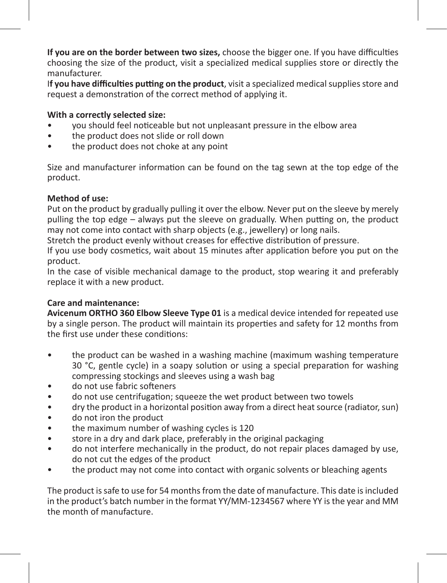**If you are on the border between two sizes,** choose the bigger one. If you have difficulties choosing the size of the product, visit a specialized medical supplies store or directly the manufacturer.

I**f you have difficulties putting on the product**, visit a specialized medical supplies store and request a demonstration of the correct method of applying it.

## **With a correctly selected size:**

- you should feel noticeable but not unpleasant pressure in the elbow area
- the product does not slide or roll down
- the product does not choke at any point

Size and manufacturer information can be found on the tag sewn at the top edge of the product.

#### **Method of use:**

Put on the product by gradually pulling it over the elbow. Never put on the sleeve by merely pulling the top edge – always put the sleeve on gradually. When putting on, the product may not come into contact with sharp objects (e.g., jewellery) or long nails.

Stretch the product evenly without creases for effective distribution of pressure.

If you use body cosmetics, wait about 15 minutes after application before you put on the product.

In the case of visible mechanical damage to the product, stop wearing it and preferably replace it with a new product.

## **Care and maintenance:**

**Avicenum ORTHO 360 Elbow Sleeve Type 01** is a medical device intended for repeated use by a single person. The product will maintain its properties and safety for 12 months from the first use under these conditions:

- the product can be washed in a washing machine (maximum washing temperature 30 °C, gentle cycle) in a soapy solution or using a special preparation for washing compressing stockings and sleeves using a wash bag
- do not use fabric softeners<br>• do not use centrifugation:
- do not use centrifugation; squeeze the wet product between two towels
- dry the product in a horizontal position away from a direct heat source (radiator, sun)
- do not iron the product
- the maximum number of washing cycles is 120<br>• store in a dry and dark place, preferably in the o
- store in a dry and dark place, preferably in the original packaging
- do not interfere mechanically in the product, do not repair places damaged by use, do not cut the edges of the product
- the product may not come into contact with organic solvents or bleaching agents

The product is safe to use for 54 months from the date of manufacture. This date is included in the product's batch number in the format YY/MM-1234567 where YY is the year and MM the month of manufacture.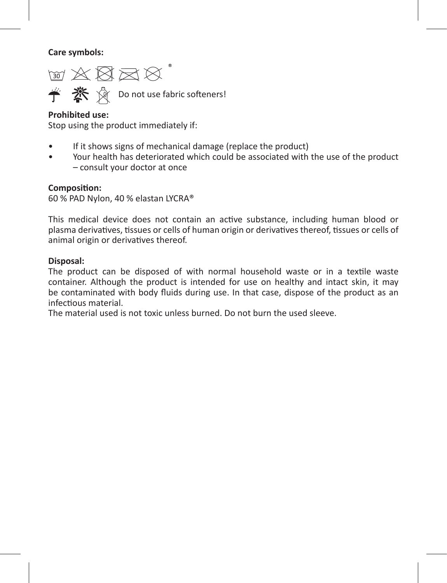**Care symbols:** 

 $\text{W} \boxtimes \text{W} \boxtimes \text{W}^*$ **学 茶** ☆ Do not use fabric softeners!

## **Prohibited use:**

Stop using the product immediately if:

- If it shows signs of mechanical damage (replace the product)
- Your health has deteriorated which could be associated with the use of the product – consult your doctor at once

#### **Composition:**

60 % PAD Nylon, 40 % elastan LYCRA®

This medical device does not contain an active substance, including human blood or plasma derivatives, tissues or cells of human origin or derivatives thereof, tissues or cells of animal origin or derivatives thereof.

#### **Disposal:**

The product can be disposed of with normal household waste or in a textile waste container. Although the product is intended for use on healthy and intact skin, it may be contaminated with body fluids during use. In that case, dispose of the product as an infectious material.

The material used is not toxic unless burned. Do not burn the used sleeve.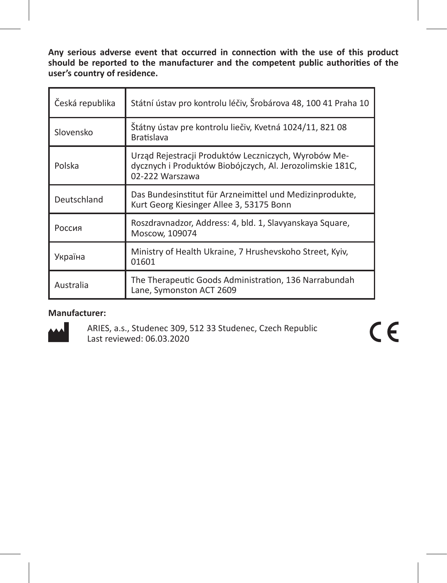**Any serious adverse event that occurred in connection with the use of this product should be reported to the manufacturer and the competent public authorities of the user's country of residence.** 

| Česká republika | Státní ústav pro kontrolu léčiv, Šrobárova 48, 100 41 Praha 10                                                                       |
|-----------------|--------------------------------------------------------------------------------------------------------------------------------------|
| Slovensko       | Štátny ústav pre kontrolu liečiv, Kvetná 1024/11, 821 08<br><b>Bratislava</b>                                                        |
| Polska          | Urząd Rejestracji Produktów Leczniczych, Wyrobów Me-<br>dycznych i Produktów Biobójczych, Al. Jerozolimskie 181C,<br>02-222 Warszawa |
| Deutschland     | Das Bundesinstitut für Arzneimittel und Medizinprodukte,<br>Kurt Georg Kiesinger Allee 3, 53175 Bonn                                 |
| Россия          | Roszdravnadzor, Address: 4, bld. 1, Slavyanskaya Square,<br>Moscow, 109074                                                           |
| Україна         | Ministry of Health Ukraine, 7 Hrushevskoho Street, Kyiv,<br>01601                                                                    |
| Australia       | The Therapeutic Goods Administration, 136 Narrabundah<br>Lane, Symonston ACT 2609                                                    |

## **Manufacturer:**



ARIES, a.s., Studenec 309, 512 33 Studenec, Czech Republic Last reviewed: 06.03.2020

 $C \in$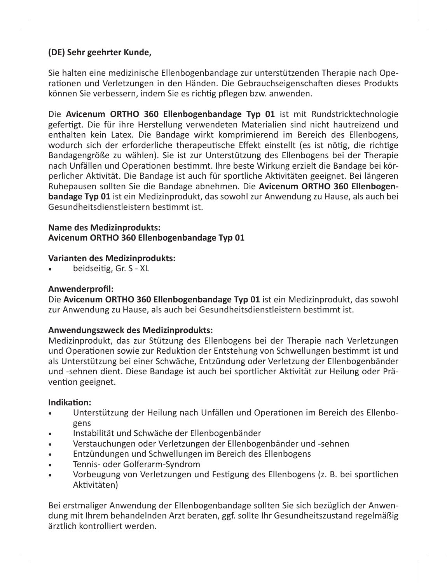## **(DE) Sehr geehrter Kunde,**

Sie halten eine medizinische Ellenbogenbandage zur unterstützenden Therapie nach Operationen und Verletzungen in den Händen. Die Gebrauchseigenschaften dieses Produkts können Sie verbessern, indem Sie es richtig pflegen bzw. anwenden.

Die **Avicenum ORTHO 360 Ellenbogenbandage Typ 01** ist mit Rundstricktechnologie gefertigt. Die für ihre Herstellung verwendeten Materialien sind nicht hautreizend und enthalten kein Latex. Die Bandage wirkt komprimierend im Bereich des Ellenbogens, wodurch sich der erforderliche therapeutische Effekt einstellt (es ist nötig, die richtige Bandagengröße zu wählen). Sie ist zur Unterstützung des Ellenbogens bei der Therapie nach Unfällen und Operationen bestimmt. Ihre beste Wirkung erzielt die Bandage bei körperlicher Aktivität. Die Bandage ist auch für sportliche Aktivitäten geeignet. Bei längeren Ruhepausen sollten Sie die Bandage abnehmen. Die **Avicenum ORTHO 360 Ellenbogenbandage Typ 01** ist ein Medizinprodukt, das sowohl zur Anwendung zu Hause, als auch bei Gesundheitsdienstleistern bestimmt ist.

#### **Name des Medizinprodukts: Avicenum ORTHO 360 Ellenbogenbandage Typ 01**

## **Varianten des Medizinprodukts:**

beidseitig, Gr. S - XL

### **Anwenderprofil:**

Die **Avicenum ORTHO 360 Ellenbogenbandage Typ 01** ist ein Medizinprodukt, das sowohl zur Anwendung zu Hause, als auch bei Gesundheitsdienstleistern bestimmt ist.

### **Anwendungszweck des Medizinprodukts:**

Medizinprodukt, das zur Stützung des Ellenbogens bei der Therapie nach Verletzungen und Operationen sowie zur Reduktion der Entstehung von Schwellungen bestimmt ist und als Unterstützung bei einer Schwäche, Entzündung oder Verletzung der Ellenbogenbänder und -sehnen dient. Diese Bandage ist auch bei sportlicher Aktivität zur Heilung oder Prävention geeignet.

#### **Indikation:**

- Unterstützung der Heilung nach Unfällen und Operationen im Bereich des Ellenbogens
- Instabilität und Schwäche der Ellenbogenbänder
- Verstauchungen oder Verletzungen der Ellenbogenbänder und -sehnen
- Entzündungen und Schwellungen im Bereich des Ellenbogens
- Tennis- oder Golferarm-Syndrom
- • Vorbeugung von Verletzungen und Festigung des Ellenbogens (z. B. bei sportlichen Aktivitäten)

Bei erstmaliger Anwendung der Ellenbogenbandage sollten Sie sich bezüglich der Anwendung mit Ihrem behandelnden Arzt beraten, ggf. sollte Ihr Gesundheitszustand regelmäßig ärztlich kontrolliert werden.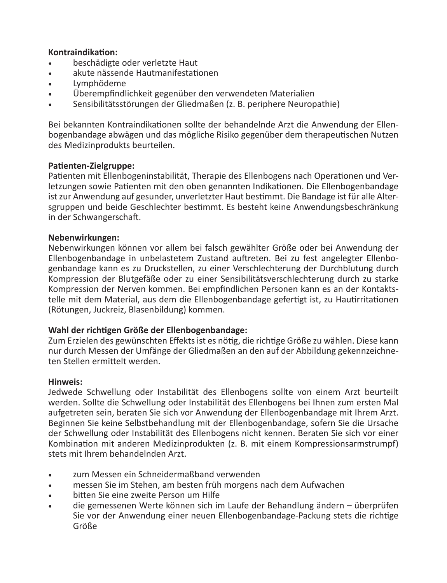#### **Kontraindikation:**

- beschädigte oder verletzte Haut
- akute nässende Hautmanifestationen
- Lymphödeme
- Überempfindlichkeit gegenüber den verwendeten Materialien
- Sensibilitätsstörungen der Gliedmaßen (z. B. periphere Neuropathie)

Bei bekannten Kontraindikationen sollte der behandelnde Arzt die Anwendung der Ellenbogenbandage abwägen und das mögliche Risiko gegenüber dem therapeutischen Nutzen des Medizinprodukts beurteilen.

#### **Patienten-Zielgruppe:**

Patienten mit Ellenbogeninstabilität, Therapie des Ellenbogens nach Operationen und Verletzungen sowie Patienten mit den oben genannten Indikationen. Die Ellenbogenbandage ist zur Anwendung auf gesunder, unverletzter Haut bestimmt. Die Bandage ist für alle Altersgruppen und beide Geschlechter bestimmt. Es besteht keine Anwendungsbeschränkung in der Schwangerschaft.

## **Nebenwirkungen:**

Nebenwirkungen können vor allem bei falsch gewählter Größe oder bei Anwendung der Ellenbogenbandage in unbelastetem Zustand auftreten. Bei zu fest angelegter Ellenbogenbandage kann es zu Druckstellen, zu einer Verschlechterung der Durchblutung durch Kompression der Blutgefäße oder zu einer Sensibilitätsverschlechterung durch zu starke Kompression der Nerven kommen. Bei empfindlichen Personen kann es an der Kontaktstelle mit dem Material, aus dem die Ellenbogenbandage gefertigt ist, zu Hautirritationen (Rötungen, Juckreiz, Blasenbildung) kommen.

#### **Wahl der richtigen Größe der Ellenbogenbandage:**

Zum Erzielen des gewünschten Effekts ist es nötig, die richtige Größe zu wählen. Diese kann nur durch Messen der Umfänge der Gliedmaßen an den auf der Abbildung gekennzeichneten Stellen ermittelt werden.

#### **Hinweis:**

Jedwede Schwellung oder Instabilität des Ellenbogens sollte von einem Arzt beurteilt werden. Sollte die Schwellung oder Instabilität des Ellenbogens bei Ihnen zum ersten Mal aufgetreten sein, beraten Sie sich vor Anwendung der Ellenbogenbandage mit Ihrem Arzt. Beginnen Sie keine Selbstbehandlung mit der Ellenbogenbandage, sofern Sie die Ursache der Schwellung oder Instabilität des Ellenbogens nicht kennen. Beraten Sie sich vor einer Kombination mit anderen Medizinprodukten (z. B. mit einem Kompressionsarmstrumpf) stets mit Ihrem behandelnden Arzt.

- zum Messen ein Schneidermaßband verwenden
- messen Sie im Stehen, am besten früh morgens nach dem Aufwachen
- bitten Sie eine zweite Person um Hilfe
- die gemessenen Werte können sich im Laufe der Behandlung ändern überprüfen Sie vor der Anwendung einer neuen Ellenbogenbandage-Packung stets die richtige Größe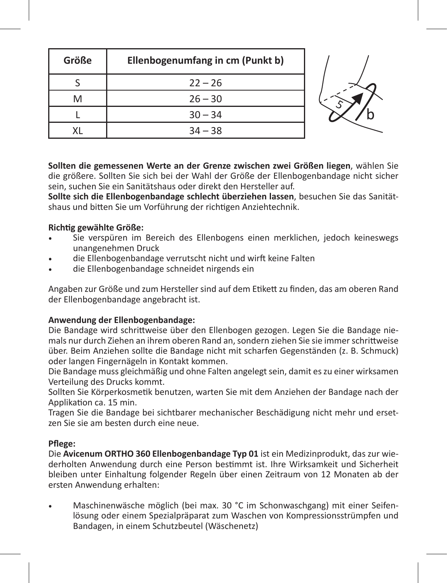| Größe | Ellenbogenumfang in cm (Punkt b) |  |
|-------|----------------------------------|--|
|       | $22 - 26$                        |  |
| M     | $26 - 30$                        |  |
|       | $30 - 34$                        |  |
|       | $34 - 38$                        |  |

**Sollten die gemessenen Werte an der Grenze zwischen zwei Größen liegen**, wählen Sie die größere. Sollten Sie sich bei der Wahl der Größe der Ellenbogenbandage nicht sicher sein, suchen Sie ein Sanitätshaus oder direkt den Hersteller auf.

**Sollte sich die Ellenbogenbandage schlecht überziehen lassen**, besuchen Sie das Sanitätshaus und bitten Sie um Vorführung der richtigen Anziehtechnik.

## **Richtig gewählte Größe:**

- Sie verspüren im Bereich des Ellenbogens einen merklichen, jedoch keineswegs unangenehmen Druck
- die Ellenbogenbandage verrutscht nicht und wirft keine Falten
- die Ellenbogenbandage schneidet nirgends ein

Angaben zur Größe und zum Hersteller sind auf dem Etikett zu finden, das am oberen Rand der Ellenbogenbandage angebracht ist.

## **Anwendung der Ellenbogenbandage:**

Die Bandage wird schrittweise über den Ellenbogen gezogen. Legen Sie die Bandage niemals nur durch Ziehen an ihrem oberen Rand an, sondern ziehen Sie sie immer schrittweise über. Beim Anziehen sollte die Bandage nicht mit scharfen Gegenständen (z. B. Schmuck) oder langen Fingernägeln in Kontakt kommen.

Die Bandage muss gleichmäßig und ohne Falten angelegt sein, damit es zu einer wirksamen Verteilung des Drucks kommt.

Sollten Sie Körperkosmetik benutzen, warten Sie mit dem Anziehen der Bandage nach der Applikation ca. 15 min.

Tragen Sie die Bandage bei sichtbarer mechanischer Beschädigung nicht mehr und ersetzen Sie sie am besten durch eine neue.

#### **Pflege:**

Die **Avicenum ORTHO 360 Ellenbogenbandage Typ 01** ist ein Medizinprodukt, das zur wiederholten Anwendung durch eine Person bestimmt ist. Ihre Wirksamkeit und Sicherheit bleiben unter Einhaltung folgender Regeln über einen Zeitraum von 12 Monaten ab der ersten Anwendung erhalten:

Maschinenwäsche möglich (bei max. 30 °C im Schonwaschgang) mit einer Seifenlösung oder einem Spezialpräparat zum Waschen von Kompressionsstrümpfen und Bandagen, in einem Schutzbeutel (Wäschenetz)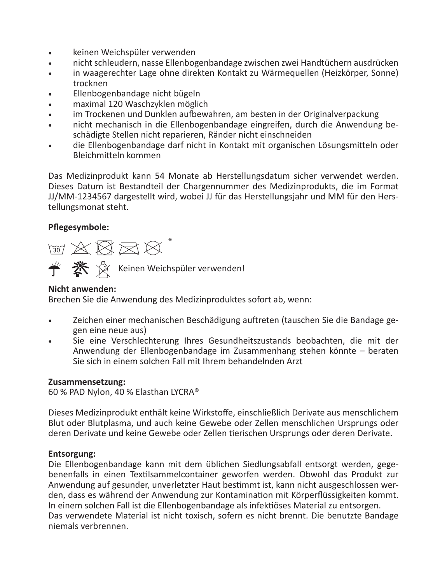- • keinen Weichspüler verwenden
- • nicht schleudern, nasse Ellenbogenbandage zwischen zwei Handtüchern ausdrücken
- in waagerechter Lage ohne direkten Kontakt zu Wärmequellen (Heizkörper, Sonne) trocknen
- Ellenbogenbandage nicht bügeln
- maximal 120 Waschzyklen möglich
- im Trockenen und Dunklen aufbewahren, am besten in der Originalverpackung
- nicht mechanisch in die Ellenbogenbandage eingreifen, durch die Anwendung beschädigte Stellen nicht reparieren, Ränder nicht einschneiden
- die Ellenbogenbandage darf nicht in Kontakt mit organischen Lösungsmitteln oder Bleichmitteln kommen

Das Medizinprodukt kann 54 Monate ab Herstellungsdatum sicher verwendet werden. Dieses Datum ist Bestandteil der Chargennummer des Medizinprodukts, die im Format JJ/MM-1234567 dargestellt wird, wobei JJ für das Herstellungsjahr und MM für den Herstellungsmonat steht.

## **Pflegesymbole:**

**M 公图区区** 

**参** X Keinen Weichspüler verwenden!

## **Nicht anwenden:**

Brechen Sie die Anwendung des Medizinproduktes sofort ab, wenn:

- Zeichen einer mechanischen Beschädigung auftreten (tauschen Sie die Bandage gegen eine neue aus)
- Sie eine Verschlechterung Ihres Gesundheitszustands beobachten, die mit der Anwendung der Ellenbogenbandage im Zusammenhang stehen könnte – beraten Sie sich in einem solchen Fall mit Ihrem behandelnden Arzt

#### **Zusammensetzung:**

60 % PAD Nylon, 40 % Elasthan LYCRA®

Dieses Medizinprodukt enthält keine Wirkstoffe, einschließlich Derivate aus menschlichem Blut oder Blutplasma, und auch keine Gewebe oder Zellen menschlichen Ursprungs oder deren Derivate und keine Gewebe oder Zellen tierischen Ursprungs oder deren Derivate.

#### **Entsorgung:**

Die Ellenbogenbandage kann mit dem üblichen Siedlungsabfall entsorgt werden, gegebenenfalls in einen Textilsammelcontainer geworfen werden. Obwohl das Produkt zur Anwendung auf gesunder, unverletzter Haut bestimmt ist, kann nicht ausgeschlossen werden, dass es während der Anwendung zur Kontamination mit Körperflüssigkeiten kommt. In einem solchen Fall ist die Ellenbogenbandage als infektiöses Material zu entsorgen. Das verwendete Material ist nicht toxisch, sofern es nicht brennt. Die benutzte Bandage niemals verbrennen.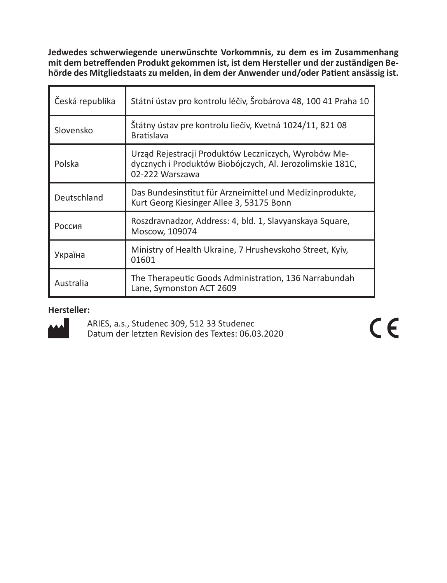**Jedwedes schwerwiegende unerwünschte Vorkommnis, zu dem es im Zusammenhang mit dem betreffenden Produkt gekommen ist, ist dem Hersteller und der zuständigen Behörde des Mitgliedstaats zu melden, in dem der Anwender und/oder Patient ansässig ist.** 

| Česká republika | Státní ústav pro kontrolu léčiv, Šrobárova 48, 100 41 Praha 10                                                                       |
|-----------------|--------------------------------------------------------------------------------------------------------------------------------------|
| Slovensko       | Štátny ústav pre kontrolu liečiv, Kvetná 1024/11, 821 08<br><b>Bratislava</b>                                                        |
| Polska          | Urząd Rejestracji Produktów Leczniczych, Wyrobów Me-<br>dycznych i Produktów Biobójczych, Al. Jerozolimskie 181C,<br>02-222 Warszawa |
| Deutschland     | Das Bundesinstitut für Arzneimittel und Medizinprodukte,<br>Kurt Georg Kiesinger Allee 3, 53175 Bonn                                 |
| Россия          | Roszdravnadzor, Address: 4, bld. 1, Slavyanskaya Square,<br>Moscow, 109074                                                           |
| Україна         | Ministry of Health Ukraine, 7 Hrushevskoho Street, Kyiv,<br>01601                                                                    |
| Australia       | The Therapeutic Goods Administration, 136 Narrabundah<br>Lane, Symonston ACT 2609                                                    |

**Hersteller:**

ARIES, a.s., Studenec 309, 512 33 Studenec Datum der letzten Revision des Textes: 06.03.2020  $\epsilon$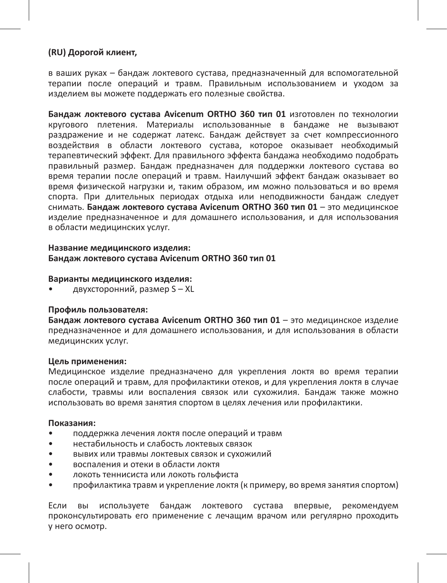#### **(RU) Дорогой клиент,**

в ваших руках – бандаж локтевого сустава, предназначенный для вспомогательной терапии после операций и травм. Правильным использованием и уходом за изделием вы можете поддержать его полезные свойства.

**Бандаж локтевого сустава Avicenum ORTHO 360 тип 01** изготовлен по технологии кругового плетения. Материалы использованные в бандаже не вызывают раздражение и не содержат латекс. Бандаж действует за счет компрессионного воздействия в области локтевого сустава, которое оказывает необходимый терапевтический эффект. Для правильного эффекта бандажа необходимо подобрать правильный размер. Бандаж предназначен для поддержки локтевого сустава во время терапии после операций и травм. Наилучший эффект бандаж оказывает во время физической нагрузки и, таким образом, им можно пользоваться и во время спорта. При длительных периодах отдыха или неподвижности бандаж следует снимать. **Бандаж локтевого сустава Avicenum ORTHO 360 тип 01** – это медицинское изделие предназначенное и для домашнего использования, и для использования в области медицинских услуг.

#### **Название медицинского изделия: Бандаж локтевого сустава Avicenum ORTHO 360 тип 01**

#### **Варианты медицинского изделия:**

• двухсторонний, размер S – XL

#### **Профиль пользователя:**

**Бандаж локтевого сустава Avicenum ORTHO 360 тип 01** – это медицинское изделие предназначенное и для домашнего использования, и для использования в области медицинских услуг.

#### **Цель применения:**

Медицинское изделие предназначено для укрепления локтя во время терапии после операций и травм, для профилактики отеков, и для укрепления локтя в случае слабости, травмы или воспаления связок или сухожилия. Бандаж также можно использовать во время занятия спортом в целях лечения или профилактики.

#### **Показания:**

- поддержка лечения локтя после операций и травм
- нестабильность и слабость локтевых связок
- вывих или травмы локтевых связок и сухожилий
- воспаления и отеки в области локтя
- локоть теннисиста или локоть гольфиста
- профилактика травм и укрепление локтя (к примеру, во время занятия спортом)

Если вы используете бандаж локтевого сустава впервые, рекомендуем проконсультировать его применение с лечащим врачом или регулярно проходить у него осмотр.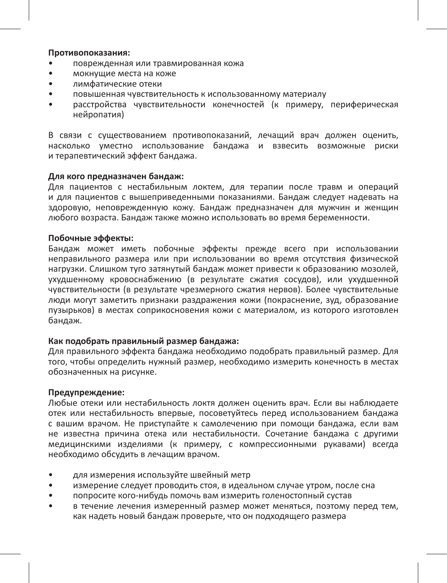#### **Противопоказания:**

- поврежденная или травмированная кожа
- мокнущие места на коже
- лимфатические отеки
- повышенная чувствительность к использованному материалу
- расстройства чувствительности конечностей (к примеру, периферическая .<br>нейропатия)

В связи с существованием противопоказаний, лечащий врач должен оценить, насколько уместно использование бандажа и взвесить возможные риски и терапевтический эффект бандажа.

#### **Для кого предназначен бандаж:**

Для пациентов с нестабильным локтем, для терапии после травм и операций и для пациентов с вышеприведенными показаниями. Бандаж следует надевать на здоровую, неповрежденную кожу. Бандаж предназначен для мужчин и женщин любого возраста. Бандаж также можно использовать во время беременности.

#### **Побочные эффекты:**

Бандаж может иметь побочные эффекты прежде всего при использовании неправильного размера или при использовании во время отсутствия физической нагрузки. Слишком туго затянутый бандаж может привести к образованию мозолей, ухудшенному кровоснабжению (в результате сжатия сосудов), или ухудшенной чувствительности (в результате чрезмерного сжатия нервов). Более чувствительные люди могут заметить признаки раздражения кожи (покраснение, зуд, образование пузырьков) в местах соприкосновения кожи с материалом, из которого изготовлен бандаж.

#### **Как подобрать правильный размер бандажа:**

Для правильного эффекта бандажа необходимо подобрать правильный размер. Для того, чтобы определить нужный размер, необходимо измерить конечность в местах обозначенных на рисунке.

#### **Предупреждение:**

Любые отеки или нестабильность локтя должен оценить врач. Если вы наблюдаете отек или нестабильность впервые, посоветуйтесь перед использованием бандажа с вашим врачом. Не приступайте к самолечению при помощи бандажа, если вам не известна причина отека или нестабильности. Сочетание бандажа с другими медицинскими изделиями (к примеру, с компрессионными рукавами) всегда необходимо обсудить в лечащим врачом.

- для измерения используйте швейный метр
- измерение следует проводить стоя, в идеальном случае утром, после сна
- попросите кого-нибудь помочь вам измерить голеностопный сустав
- в течение лечения измеренный размер может меняться, поэтому перед тем, как надеть новый бандаж проверьте, что он подходящего размера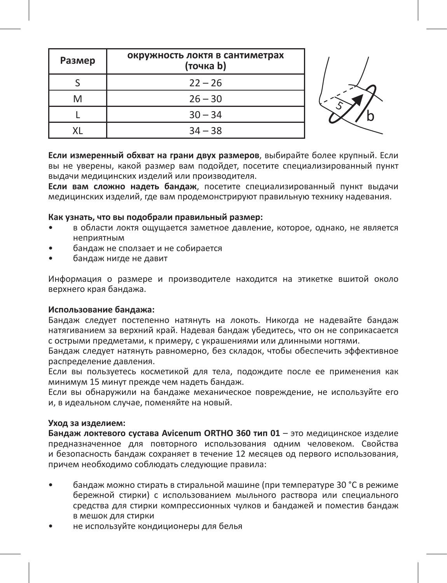| Размер | окружность локтя в сантиметрах<br>(точка b) |  |
|--------|---------------------------------------------|--|
|        | $22 - 26$                                   |  |
| M      | $26 - 30$                                   |  |
|        | $30 - 34$                                   |  |
|        | $34 - 38$                                   |  |

**Если измеренный обхват на грани двух размеров**, выбирайте более крупный. Если вы не уверены, какой размер вам подойдет, посетите специализированный пункт выдачи медицинских изделий или производителя.

**Если вам сложно надеть бандаж**, посетите специализированный пункт выдачи медицинских изделий, где вам продемонстрируют правильную технику надевания.

#### **Как узнать, что вы подобрали правильный размер:**

- в области локтя ощущается заметное давление, которое, однако, не является неприятным
- бандаж не сползает и не собирается
- бандаж нигде не давит

Информация о размере и производителе находится на этикетке вшитой около верхнего края бандажа.

#### **Использование бандажа:**

Бандаж следует постепенно натянуть на локоть. Никогда не надевайте бандаж натягиванием за верхний край. Надевая бандаж убедитесь, что он не соприкасается с острыми предметами, к примеру, с украшениями или длинными ногтями.

Бандаж следует натянуть равномерно, без складок, чтобы обеспечить эффективное распределение давления.

Если вы пользуетесь косметикой для тела, подождите после ее применения как минимум 15 минут прежде чем надеть бандаж.

Если вы обнаружили на бандаже механическое повреждение, не используйте его и, в идеальном случае, поменяйте на новый.

#### **Уход за изделием:**

**Бандаж локтевого сустава Avicenum ORTHO 360 тип 01** – это медицинское изделие предназначенное для повторного использования одним человеком. Свойства и безопасность бандаж сохраняет в течение 12 месяцев од первого использования, причем необходимо соблюдать следующие правила:

- бандаж можно стирать в стиральной машине (при температуре 30 °C в режиме бережной стирки) с использованием мыльного раствора или специального средства для стирки компрессионных чулков и бандажей и поместив бандаж в мешок для стирки
- не используйте кондиционеры для белья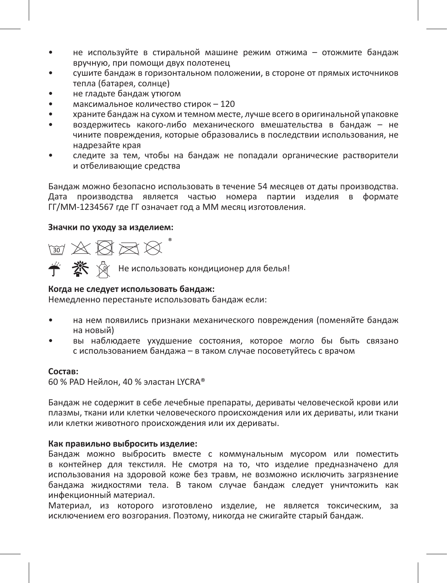- не используйте в стиральной машине режим отжима отожмите бандаж вручную, при помощи двух полотенец
- сушите бандаж в горизонтальном положении, в стороне от прямых источников тепла (батарея, солнце)
- не гладьте бандаж утюгом
- максимальное количество стирок 120
- храните бандаж на сухом и темном месте, лучше всего в оригинальной упаковке
- воздержитесь какого-либо механического вмешательства в бандаж не чините повреждения, которые образовались в последствии использования, не надрезайте края
- следите за тем, чтобы на бандаж не попадали органические растворители и отбеливающие средства

Бандаж можно безопасно использовать в течение 54 месяцев от даты производства. Дата производства является частью номера партии изделия в формате ГГ/ММ-1234567 где ГГ означает год а ММ месяц изготовления.

#### **Значки по уходу за изделием:**

 $\text{W X} \boxtimes \text{W}^*$ 

Не использовать кондиционер для белья!

## **Когда не следует использовать бандаж:**

Немедленно перестаньте использовать бандаж если:

- на нем появились признаки механического повреждения (поменяйте бандаж на новый)
- вы наблюдаете ухудшение состояния, которое могло бы быть связано с использованием бандажа – в таком случае посоветуйтесь с врачом

#### **Состав:**

60 % PAD Нейлон, 40 % эластан LYCRA®

Бандаж не содержит в себе лечебные препараты, дериваты человеческой крови или плазмы, ткани или клетки человеческого происхождения или их дериваты, или ткани или клетки животного происхождения или их дериваты.

#### **Как правильно выбросить изделие:**

Бандаж можно выбросить вместе с коммунальным мусором или поместить в контейнер для текстиля. Не смотря на то, что изделие предназначено для использования на здоровой коже без травм, не возможно исключить загрязнение бандажа жидкостями тела. В таком случае бандаж следует уничтожить как инфекционный материал.

Материал, из которого изготовлено изделие, не является токсическим, за исключением его возгорания. Поэтому, никогда не сжигайте старый бандаж.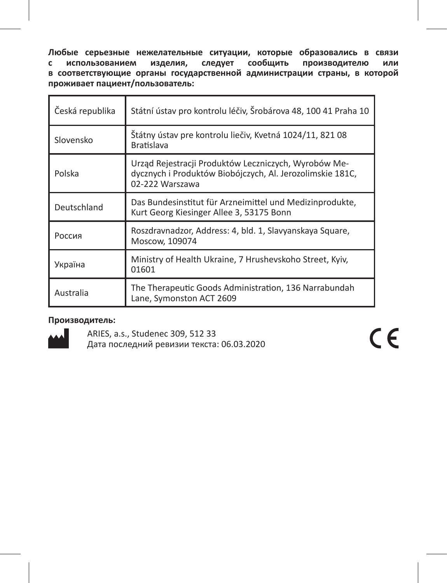**Любые серьезные нежелательные ситуации, которые образовались в связи с использованием изделия, следует сообщить производителю или в соответствующие органы государственной администрации страны, в которой проживает пациент/пользователь:** 

| Česká republika | Státní ústav pro kontrolu léčiv, Šrobárova 48, 100 41 Praha 10                                                                       |
|-----------------|--------------------------------------------------------------------------------------------------------------------------------------|
| Slovensko       | Štátny ústav pre kontrolu liečiv, Kvetná 1024/11, 821 08<br><b>Bratislava</b>                                                        |
| Polska          | Urząd Rejestracji Produktów Leczniczych, Wyrobów Me-<br>dycznych i Produktów Biobójczych, Al. Jerozolimskie 181C,<br>02-222 Warszawa |
| Deutschland     | Das Bundesinstitut für Arzneimittel und Medizinprodukte,<br>Kurt Georg Kiesinger Allee 3, 53175 Bonn                                 |
| Россия          | Roszdravnadzor, Address: 4, bld. 1, Slavyanskaya Square,<br>Moscow, 109074                                                           |
| Україна         | Ministry of Health Ukraine, 7 Hrushevskoho Street, Kyiv,<br>01601                                                                    |
| Australia       | The Therapeutic Goods Administration, 136 Narrabundah<br>Lane, Symonston ACT 2609                                                    |

#### **Производитель:**



ARIES, a.s., Studenec 309, 512 33 Дата последний ревизии текста: 06.03.2020  $C \in$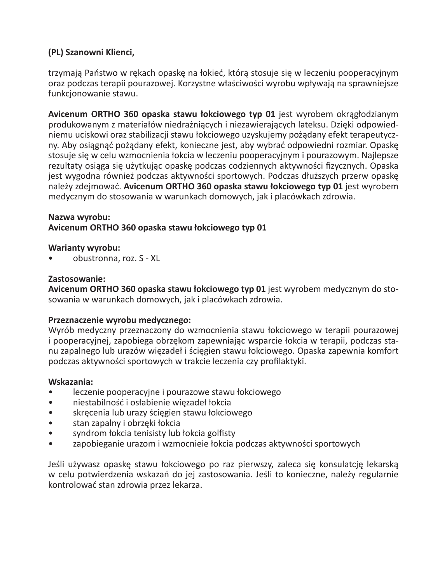## **(PL) Szanowni Klienci,**

trzymają Państwo w rękach opaskę na łokieć, którą stosuje się w leczeniu pooperacyjnym oraz podczas terapii pourazowej. Korzystne właściwości wyrobu wpływają na sprawniejsze funkcjonowanie stawu.

**Avicenum ORTHO 360 opaska stawu łokciowego typ 01** jest wyrobem okrągłodzianym produkowanym z materiałów niedrażniących i niezawierających lateksu. Dzięki odpowiedniemu uciskowi oraz stabilizacji stawu łokciowego uzyskujemy pożądany efekt terapeutyczny. Aby osiągnąć pożądany efekt, konieczne jest, aby wybrać odpowiedni rozmiar. Opaskę stosuje się w celu wzmocnienia łokcia w leczeniu pooperacyjnym i pourazowym. Najlepsze rezultaty osiąga się użytkując opaskę podczas codziennych aktywności fizycznych. Opaska jest wygodna również podczas aktywności sportowych. Podczas dłuższych przerw opaskę należy zdejmować. **Avicenum ORTHO 360 opaska stawu łokciowego typ 01** jest wyrobem medycznym do stosowania w warunkach domowych, jak i placówkach zdrowia.

### **Nazwa wyrobu:**

#### **Avicenum ORTHO 360 opaska stawu łokciowego typ 01**

#### **Warianty wyrobu:**

• obustronna, roz. S - XL

## **Zastosowanie:**

**Avicenum ORTHO 360 opaska stawu łokciowego typ 01** jest wyrobem medycznym do stosowania w warunkach domowych, jak i placówkach zdrowia.

#### **Przeznaczenie wyrobu medycznego:**

Wyrób medyczny przeznaczony do wzmocnienia stawu łokciowego w terapii pourazowej i pooperacyjnej, zapobiega obrzękom zapewniając wsparcie łokcia w terapii, podczas stanu zapalnego lub urazów więzadeł i ścięgien stawu łokciowego. Opaska zapewnia komfort podczas aktywności sportowych w trakcie leczenia czy profilaktyki.

#### **Wskazania:**

- leczenie pooperacyjne i pourazowe stawu łokciowego
- niestabilność i osłabienie więzadeł łokcia
- skręcenia lub urazy ścięgien stawu łokciowego
- stan zapalny i obrzęki łokcia
- syndrom łokcia tenisisty lub łokcia golfisty
- zapobieganie urazom i wzmocnieie łokcia podczas aktywności sportowych

Jeśli używasz opaskę stawu łokciowego po raz pierwszy, zaleca się konsulatcję lekarską w celu potwierdzenia wskazań do jej zastosowania. Jeśli to konieczne, należy regularnie kontrolować stan zdrowia przez lekarza.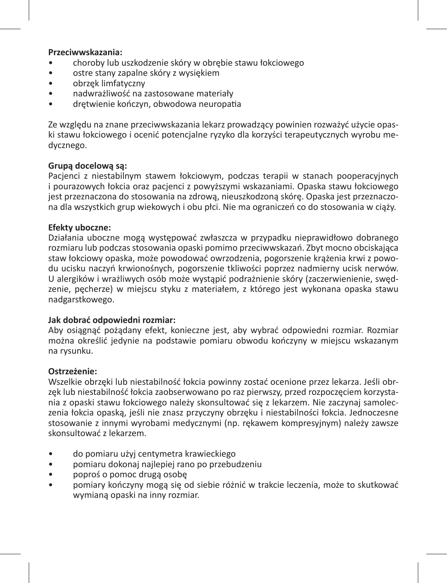#### **Przeciwwskazania:**

- choroby lub uszkodzenie skóry w obrębie stawu łokciowego
- ostre stany zapalne skóry z wysiękiem
- obrzęk limfatyczny
- nadwrażliwość na zastosowane materiały
- drętwienie kończyn, obwodowa neuropatia

Ze względu na znane przeciwwskazania lekarz prowadzący powinien rozważyć użycie opaski stawu łokciowego i ocenić potencjalne ryzyko dla korzyści terapeutycznych wyrobu medycznego.

#### **Grupą docelową są:**

Pacjenci z niestabilnym stawem łokciowym, podczas terapii w stanach pooperacyjnych i pourazowych łokcia oraz pacjenci z powyższymi wskazaniami. Opaska stawu łokciowego jest przeznaczona do stosowania na zdrową, nieuszkodzoną skórę. Opaska jest przeznaczona dla wszystkich grup wiekowych i obu płci. Nie ma ograniczeń co do stosowania w ciąży.

#### **Efekty uboczne:**

Działania uboczne mogą występować zwłaszcza w przypadku nieprawidłowo dobranego rozmiaru lub podczas stosowania opaski pomimo przeciwwskazań. Zbyt mocno obciskająca staw łokciowy opaska, może powodować owrzodzenia, pogorszenie krążenia krwi z powodu ucisku naczyń krwionośnych, pogorszenie tkliwości poprzez nadmierny ucisk nerwów. U alergików i wrażliwych osób może wystąpić podrażnienie skóry (zaczerwienienie, swędzenie, pęcherze) w miejscu styku z materiałem, z którego jest wykonana opaska stawu nadgarstkowego.

#### **Jak dobrać odpowiedni rozmiar:**

Aby osiągnąć pożądany efekt, konieczne jest, aby wybrać odpowiedni rozmiar. Rozmiar można określić jedynie na podstawie pomiaru obwodu kończyny w miejscu wskazanym na rysunku.

#### **Ostrzeżenie:**

Wszelkie obrzęki lub niestabilność łokcia powinny zostać ocenione przez lekarza. Jeśli obrzęk lub niestabilność łokcia zaobserwowano po raz pierwszy, przed rozpoczęciem korzystania z opaski stawu łokciowego należy skonsultować się z lekarzem. Nie zaczynaj samoleczenia łokcia opaską, jeśli nie znasz przyczyny obrzęku i niestabilności łokcia. Jednoczesne stosowanie z innymi wyrobami medycznymi (np. rękawem kompresyjnym) należy zawsze skonsultować z lekarzem.

- do pomiaru użyj centymetra krawieckiego
- pomiaru dokonaj najlepiej rano po przebudzeniu
- poproś o pomoc drugą osobę
- pomiary kończyny mogą się od siebie różnić w trakcie leczenia, może to skutkować wymianą opaski na inny rozmiar.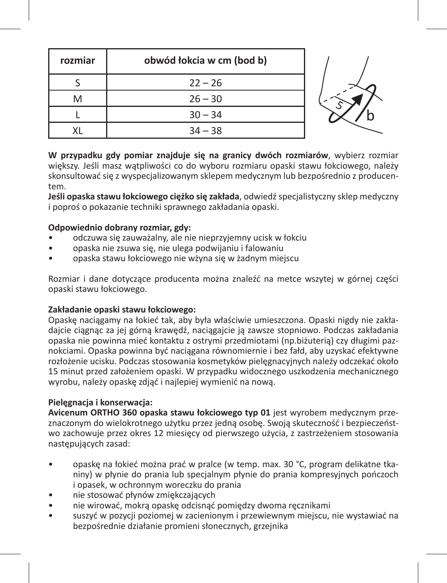| rozmiar | obwód łokcia w cm (bod b) |  |
|---------|---------------------------|--|
|         | $22 - 26$                 |  |
| M       | $26 - 30$                 |  |
|         | $30 - 34$                 |  |
|         | $34 - 38$                 |  |

**W przypadku gdy pomiar znajduje się na granicy dwóch rozmiarów**, wybierz rozmiar większy. Jeśli masz watpliwości co do wyboru rozmiaru opaski stawu łokciowego, należy skonsultować się z wyspecjalizowanym sklepem medycznym lub bezpośrednio z producentem.

**Jeśli opaska stawu łokciowego ciężko się zakłada**, odwiedź specjalistyczny sklep medyczny i poproś o pokazanie techniki sprawnego zakładania opaski.

## **Odpowiednio dobrany rozmiar, gdy:**

- odczuwa się zauważalny, ale nie nieprzyjemny ucisk w łokciu
- opaska nie zsuwa się, nie ulega podwijaniu i falowaniu
- opaska stawu łokciowego nie wżyna się w żadnym miejscu

Rozmiar i dane dotyczące producenta można znaleźć na metce wszytej w górnej części opaski stawu łokciowego.

#### **Zakładanie opaski stawu łokciowego:**

Opaskę naciągamy na łokieć tak, aby była właściwie umieszczona. Opaski nigdy nie zakładajcie ciągnąc za jej górną krawędź, naciągajcie ją zawsze stopniowo. Podczas zakładania opaska nie powinna mieć kontaktu z ostrymi przedmiotami (np.biżuterią) czy długimi paznokciami. Opaska powinna być naciągana równomiernie i bez fałd, aby uzyskać efektywne rozłożenie ucisku. Podczas stosowania kosmetyków pielęgnacyjnych należy odczekać około 15 minut przed założeniem opaski. W przypadku widocznego uszkodzenia mechanicznego wyrobu, należy opaskę zdjąć i najlepiej wymienić na nową.

## **Pielęgnacja i konserwacja:**

**Avicenum ORTHO 360 opaska stawu łokciowego typ 01** jest wyrobem medycznym przeznaczonym do wielokrotnego użytku przez jedną osobę. Swoją skuteczność i bezpieczeństwo zachowuje przez okres 12 miesięcy od pierwszego użycia, z zastrzeżeniem stosowania następujących zasad:

- opaskę na łokieć można prać w pralce (w temp. max. 30 °C, program delikatne tkaniny) w płynie do prania lub specjalnym płynie do prania kompresyjnych pończoch i opasek, w ochronnym woreczku do prania
- nie stosować płynów zmiękczających
- nie wirować, mokrą opaskę odcisnąć pomiędzy dwoma ręcznikami
- suszyć w pozycji poziomej w zacienionym i przewiewnym miejscu, nie wystawiać na bezpośrednie działanie promieni słonecznych, grzejnika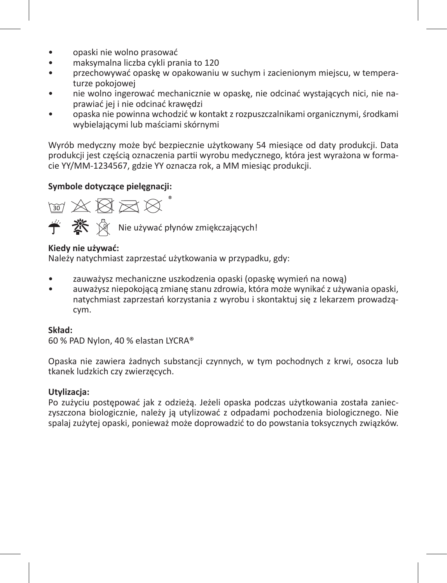- opaski nie wolno prasować
- maksymalna liczba cykli prania to 120
- przechowywać opaskę w opakowaniu w suchym i zacienionym miejscu, w temperaturze pokojowej
- nie wolno ingerować mechanicznie w opaskę, nie odcinać wystających nici, nie naprawiać jej i nie odcinać krawędzi
- opaska nie powinna wchodzić w kontakt z rozpuszczalnikami organicznymi, środkami wybielającymi lub maściami skórnymi

Wyrób medyczny może być bezpiecznie użytkowany 54 miesiące od daty produkcji. Data produkcji jest częścią oznaczenia partii wyrobu medycznego, która jest wyrażona w formacie YY/MM-1234567, gdzie YY oznacza rok, a MM miesiąc produkcji.

## **Symbole dotyczące pielęgnacji:**



## **Kiedy nie używać:**

Należy natychmiast zaprzestać użytkowania w przypadku, gdy:

- zauważysz mechaniczne uszkodzenia opaski (opaskę wymień na nową)
- auważysz niepokojącą zmianę stanu zdrowia, która może wynikać z używania opaski, natychmiast zaprzestań korzystania z wyrobu i skontaktuj się z lekarzem prowadzącym.

#### **Skład:**

60 % PAD Nylon, 40 % elastan LYCRA®

Opaska nie zawiera żadnych substancji czynnych, w tym pochodnych z krwi, osocza lub tkanek ludzkich czy zwierzęcych.

## **Utylizacja:**

Po zużyciu postępować jak z odzieżą. Jeżeli opaska podczas użytkowania została zanieczyszczona biologicznie, należy ją utylizować z odpadami pochodzenia biologicznego. Nie spalaj zużytej opaski, ponieważ może doprowadzić to do powstania toksycznych związków.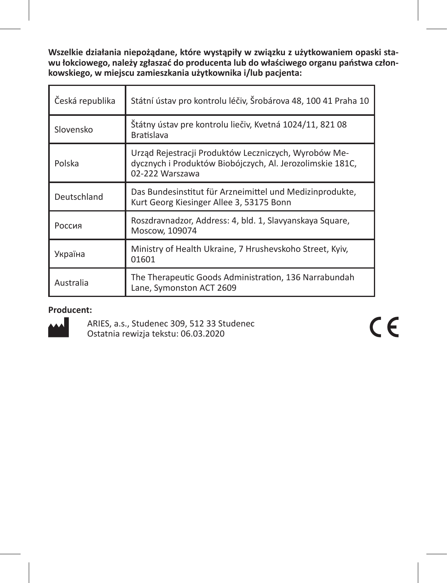**Wszelkie działania niepożądane, które wystąpiły w związku z użytkowaniem opaski stawu łokciowego, należy zgłaszać do producenta lub do właściwego organu państwa członkowskiego, w miejscu zamieszkania użytkownika i/lub pacjenta:**

| Česká republika | Státní ústav pro kontrolu léčiv, Šrobárova 48, 100 41 Praha 10                                                                       |
|-----------------|--------------------------------------------------------------------------------------------------------------------------------------|
| Slovensko       | Štátny ústav pre kontrolu liečiv, Kvetná 1024/11, 821 08<br><b>Bratislava</b>                                                        |
| Polska          | Urząd Rejestracji Produktów Leczniczych, Wyrobów Me-<br>dycznych i Produktów Biobójczych, Al. Jerozolimskie 181C,<br>02-222 Warszawa |
| Deutschland     | Das Bundesinstitut für Arzneimittel und Medizinprodukte,<br>Kurt Georg Kiesinger Allee 3, 53175 Bonn                                 |
| Россия          | Roszdravnadzor, Address: 4, bld. 1, Slavyanskaya Square,<br>Moscow, 109074                                                           |
| Україна         | Ministry of Health Ukraine, 7 Hrushevskoho Street, Kyiv,<br>01601                                                                    |
| Australia       | The Therapeutic Goods Administration, 136 Narrabundah<br>Lane, Symonston ACT 2609                                                    |

## **Producent:**



ARIES, a.s., Studenec 309, 512 33 Studenec Ostatnia rewizja tekstu: 06.03.2020

 $C \in$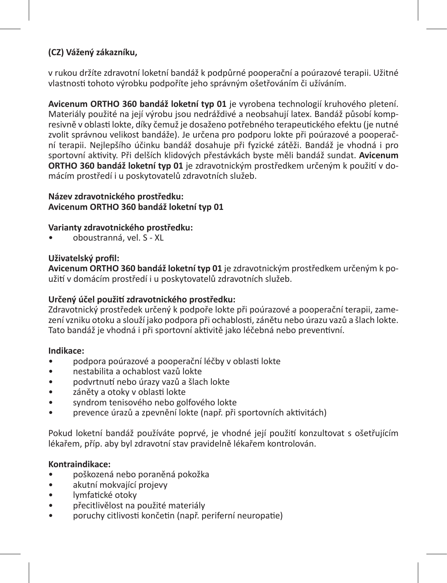## **(CZ) Vážený zákazníku,**

v rukou držíte zdravotní loketní bandáž k podpůrné pooperační a poúrazové terapii. Užitné vlastnosti tohoto výrobku podpoříte jeho správným ošetřováním či užíváním.

**Avicenum ORTHO 360 bandáž loketní typ 01** je vyrobena technologií kruhového pletení. Materiály použité na její výrobu jsou nedráždivé a neobsahují latex. Bandáž působí kompresivně v oblasti lokte, díky čemuž je dosaženo potřebného terapeutického efektu (je nutné zvolit správnou velikost bandáže). Je určena pro podporu lokte při poúrazové a pooperační terapii. Nejlepšího účinku bandáž dosahuje při fyzické zátěži. Bandáž je vhodná i pro sportovní aktivity. Při delších klidových přestávkách byste měli bandáž sundat. **Avicenum ORTHO 360 bandáž loketní typ 01** je zdravotnickým prostředkem určeným k použití v domácím prostředí i u poskytovatelů zdravotních služeb.

## **Název zdravotnického prostředku: Avicenum ORTHO 360 bandáž loketní typ 01**

## **Varianty zdravotnického prostředku:**

• oboustranná, vel. S - XL

## **Uživatelský profil:**

**Avicenum ORTHO 360 bandáž loketní typ 01** je zdravotnickým prostředkem určeným k použití v domácím prostředí i u poskytovatelů zdravotních služeb.

## **Určený účel použití zdravotnického prostředku:**

Zdravotnický prostředek určený k podpoře lokte při poúrazové a pooperační terapii, zamezení vzniku otoku a slouží jako podpora při ochablosti, zánětu nebo úrazu vazů a šlach lokte. Tato bandáž je vhodná i při sportovní aktivitě jako léčebná nebo preventivní.

## **Indikace:**

- podpora poúrazové a pooperační léčby v oblasti lokte
- nestabilita a ochablost vazů lokte
- podvrtnutí nebo úrazy vazů a šlach lokte
- záněty a otoky v oblasti lokte
- syndrom tenisového nebo golfového lokte
- prevence úrazů a zpevnění lokte (např. při sportovních aktivitách)

Pokud loketní bandáž používáte poprvé, je vhodné její použití konzultovat s ošetřujícím lékařem, příp. aby byl zdravotní stav pravidelně lékařem kontrolován.

#### **Kontraindikace:**

- poškozená nebo poraněná pokožka
- akutní mokvající projevy
- lymfatické otoky
- přecitlivělost na použité materiály
- poruchy citlivosti končetin (např. periferní neuropatie)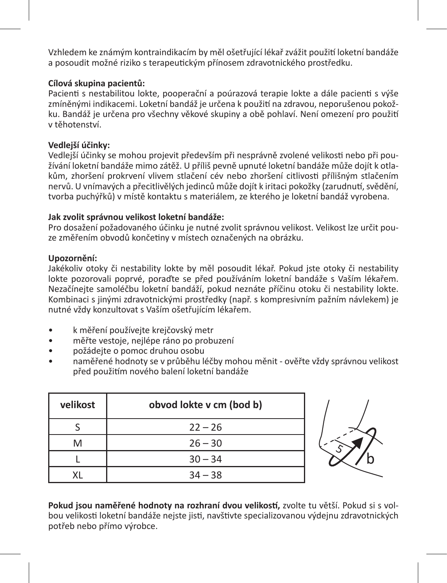Vzhledem ke známým kontraindikacím by měl ošetřující lékař zvážit použití loketní bandáže a posoudit možné riziko s terapeutickým přínosem zdravotnického prostředku.

## **Cílová skupina pacientů:**

Pacienti s nestabilitou lokte, pooperační a poúrazová terapie lokte a dále pacienti s výše zmíněnými indikacemi. Loketní bandáž je určena k použití na zdravou, neporušenou pokožku. Bandáž je určena pro všechny věkové skupiny a obě pohlaví. Není omezení pro použití v těhotenství.

## **Vedlejší účinky:**

Vedlejší účinky se mohou projevit především při nesprávně zvolené velikosti nebo při používání loketní bandáže mimo zátěž. U příliš pevně upnuté loketní bandáže může dojít k otlakům, zhoršení prokrvení vlivem stlačení cév nebo zhoršení citlivosti přílišným stlačením nervů. U vnímavých a přecitlivělých jedinců může dojít k iritaci pokožky (zarudnutí, svědění, tvorba puchýřků) v místě kontaktu s materiálem, ze kterého je loketní bandáž vyrobena.

#### **Jak zvolit správnou velikost loketní bandáže:**

Pro dosažení požadovaného účinku je nutné zvolit správnou velikost. Velikost lze určit pouze změřením obvodů končetiny v místech označených na obrázku.

## **Upozornění:**

Jakékoliv otoky či nestability lokte by měl posoudit lékař. Pokud jste otoky či nestability lokte pozorovali poprvé, poraďte se před používáním loketní bandáže s Vaším lékařem. Nezačínejte samoléčbu loketní bandáží, pokud neznáte příčinu otoku či nestability lokte. Kombinaci s jinými zdravotnickými prostředky (např. s kompresivním pažním návlekem) je nutné vždy konzultovat s Vaším ošetřujícím lékařem.

- k měření používejte krejčovský metr
- měřte vestoje, nejlépe ráno po probuzení
- požádejte o pomoc druhou osobu
- naměřené hodnoty se v průběhu léčby mohou měnit ověřte vždy správnou velikost před použitím nového balení loketní bandáže

| velikost | obvod lokte v cm (bod b) |
|----------|--------------------------|
|          | $22 - 26$                |
| M        | $26 - 30$                |
|          | $30 - 34$                |
|          | $34 - 38$                |



**Pokud jsou naměřené hodnoty na rozhraní dvou velikostí,** zvolte tu větší. Pokud si s volbou velikosti loketní bandáže nejste jisti, navštivte specializovanou výdejnu zdravotnických potřeb nebo přímo výrobce.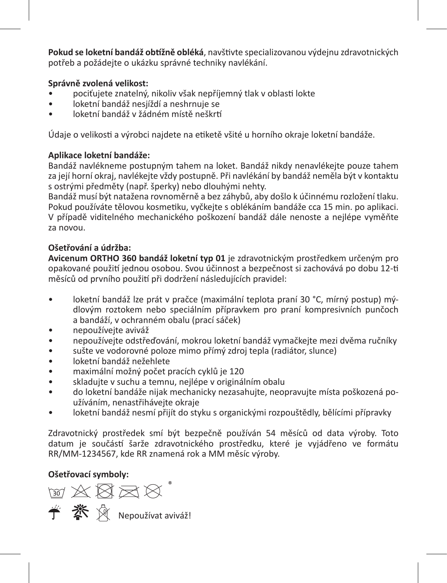**Pokud se loketní bandáž obtížně obléká**, navštivte specializovanou výdejnu zdravotnických potřeb a požádejte o ukázku správné techniky navlékání.

## **Správně zvolená velikost:**

- pociťujete znatelný, nikoliv však nepříjemný tlak v oblasti lokte
- loketní bandáž nesjíždí a neshrnuje se
- loketní bandáž v žádném místě neškrtí

Údaje o velikosti a výrobci najdete na etiketě všité u horního okraje loketní bandáže.

## **Aplikace loketní bandáže:**

Bandáž navlékneme postupným tahem na loket. Bandáž nikdy nenavlékejte pouze tahem za její horní okraj, navlékejte vždy postupně. Při navlékání by bandáž neměla být v kontaktu s ostrými předměty (např. šperky) nebo dlouhými nehty.

Bandáž musí být natažena rovnoměrně a bez záhybů, aby došlo k účinnému rozložení tlaku. Pokud používáte tělovou kosmetiku, vyčkejte s oblékáním bandáže cca 15 min. po aplikaci. V případě viditelného mechanického poškození bandáž dále nenoste a nejlépe vyměňte za novou.

## **Ošetřování a údržba:**

**Avicenum ORTHO 360 bandáž loketní typ 01** je zdravotnickým prostředkem určeným pro opakované použití jednou osobou. Svou účinnost a bezpečnost si zachovává po dobu 12-ti měsíců od prvního použití při dodržení následujících pravidel:

- loketní bandáž lze prát v pračce (maximální teplota praní 30 °C, mírný postup) mýdlovým roztokem nebo speciálním přípravkem pro praní kompresivních punčoch a bandáží, v ochranném obalu (prací sáček)
- nepoužívejte aviváž
- nepoužívejte odstřeďování, mokrou loketní bandáž vymačkejte mezi dvěma ručníky
- sušte ve vodorovné poloze mimo přímý zdroj tepla (radiátor, slunce)
- loketní bandáž nežehlete
- maximální možný počet pracích cyklů je 120
- skladujte v suchu a temnu, nejlépe v originálním obalu
- do loketní bandáže nijak mechanicky nezasahujte, neopravujte místa poškozená používáním, nenastřihávejte okraje
- loketní bandáž nesmí přijít do styku s organickými rozpouštědly, bělícími přípravky

Zdravotnický prostředek smí být bezpečně používán 54 měsíců od data výroby. Toto datum je součástí šarže zdravotnického prostředku, které je vyjádřeno ve formátu RR/MM-1234567, kde RR znamená rok a MM měsíc výroby.

## **Ošetřovací symboly:**

**M X X X X** Nepoužívat aviváž!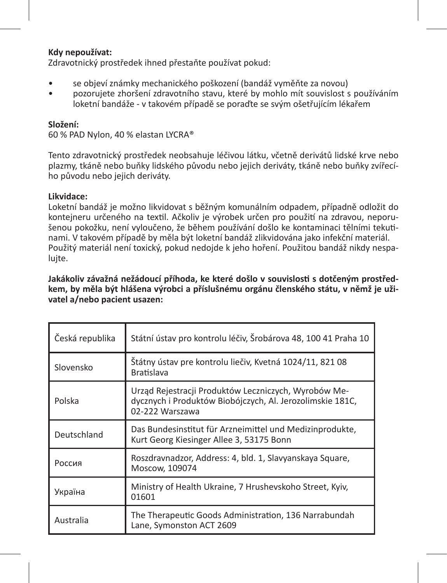#### **Kdy nepoužívat:**

Zdravotnický prostředek ihned přestaňte používat pokud:

- se objeví známky mechanického poškození (bandáž vyměňte za novou)
- pozorujete zhoršení zdravotního stavu, které by mohlo mít souvislost s používáním loketní bandáže - v takovém případě se poraďte se svým ošetřujícím lékařem

#### **Složení:**

60 % PAD Nylon, 40 % elastan LYCRA®

Tento zdravotnický prostředek neobsahuje léčivou látku, včetně derivátů lidské krve nebo plazmy, tkáně nebo buňky lidského původu nebo jejich deriváty, tkáně nebo buňky zvířecího původu nebo jejich deriváty.

#### **Likvidace:**

Loketní bandáž je možno likvidovat s běžným komunálním odpadem, případně odložit do kontejneru určeného na textil. Ačkoliv je výrobek určen pro použití na zdravou, neporušenou pokožku, není vyloučeno, že během používání došlo ke kontaminaci tělními tekutinami. V takovém případě by měla být loketní bandáž zlikvidována jako infekční materiál. Použitý materiál není toxický, pokud nedojde k jeho hoření. Použitou bandáž nikdy nespalujte.

**Jakákoliv závažná nežádoucí příhoda, ke které došlo v souvislosti s dotčeným prostředkem, by měla být hlášena výrobci a příslušnému orgánu členského státu, v němž je uživatel a/nebo pacient usazen:** 

| Česká republika | Státní ústav pro kontrolu léčiv, Šrobárova 48, 100 41 Praha 10                                                                       |
|-----------------|--------------------------------------------------------------------------------------------------------------------------------------|
| Slovensko       | Štátny ústav pre kontrolu liečiv, Kvetná 1024/11, 821 08<br><b>Bratislava</b>                                                        |
| Polska          | Urząd Rejestracji Produktów Leczniczych, Wyrobów Me-<br>dycznych i Produktów Biobójczych, Al. Jerozolimskie 181C,<br>02-222 Warszawa |
| Deutschland     | Das Bundesinstitut für Arzneimittel und Medizinprodukte,<br>Kurt Georg Kiesinger Allee 3, 53175 Bonn                                 |
| Россия          | Roszdravnadzor, Address: 4, bld. 1, Slavyanskaya Square,<br>Moscow, 109074                                                           |
| Україна         | Ministry of Health Ukraine, 7 Hrushevskoho Street, Kyiv,<br>01601                                                                    |
| Australia       | The Therapeutic Goods Administration, 136 Narrabundah<br>Lane, Symonston ACT 2609                                                    |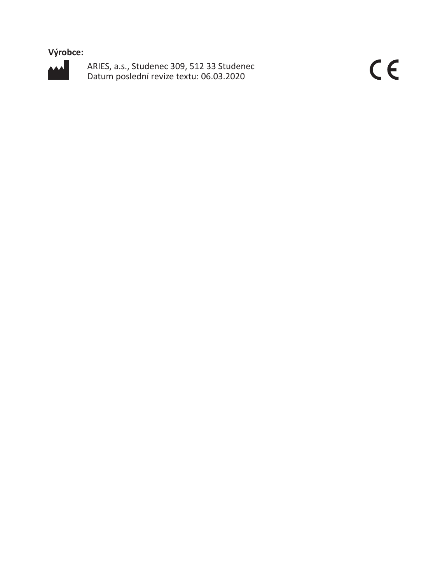**Výrobce:**



ARIES, a.s., Studenec 309, 512 33 Studenec Datum poslední revize textu: 06.03.2020

 $C \in$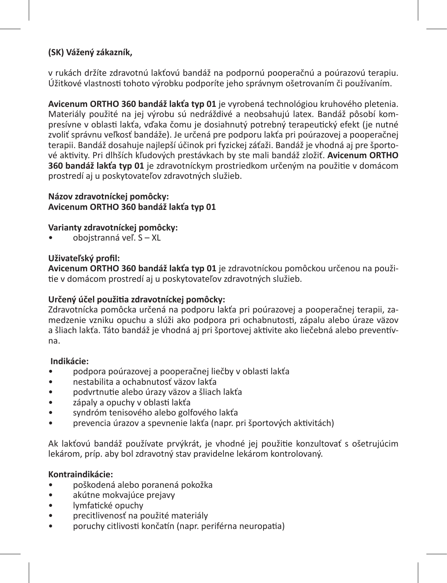## **(SK) Vážený zákazník,**

v rukách držíte zdravotnú lakťovú bandáž na podpornú pooperačnú a poúrazovú terapiu. Úžitkové vlastnosti tohoto výrobku podporíte jeho správnym ošetrovaním či používaním.

**Avicenum ORTHO 360 bandáž lakťa typ 01** je vyrobená technológiou kruhového pletenia. Materiály použité na jej výrobu sú nedráždivé a neobsahujú latex. Bandáž pôsobí kompresívne v oblasti lakťa, vďaka čomu je dosiahnutý potrebný terapeutický efekt (je nutné zvoliť správnu veľkosť bandáže). Je určená pre podporu lakťa pri poúrazovej a pooperačnej terapii. Bandáž dosahuje najlepší účinok pri fyzickej záťaži. Bandáž je vhodná aj pre športové aktivity. Pri dlhších kľudových prestávkach by ste mali bandáž zložiť. **Avicenum ORTHO 360 bandáž lakťa typ 01** je zdravotníckym prostriedkom určeným na použitie v domácom prostredí aj u poskytovateľov zdravotných služieb.

## **Názov zdravotníckej pomôcky: Avicenum ORTHO 360 bandáž lakťa typ 01**

## **Varianty zdravotníckej pomôcky:**

• obojstranná veľ. S – XL

## **Uživateľský profil:**

**Avicenum ORTHO 360 bandáž lakťa typ 01** je zdravotníckou pomôckou určenou na použitie v domácom prostredí aj u poskytovateľov zdravotných služieb.

## **Určený účel použitia zdravotníckej pomôcky:**

Zdravotnícka pomôcka určená na podporu lakťa pri poúrazovej a pooperačnej terapii, zamedzenie vzniku opuchu a slúži ako podpora pri ochabnutosti, zápalu alebo úraze väzov a šliach lakťa. Táto bandáž je vhodná aj pri športovej aktivite ako liečebná alebo preventívna.

#### **Indikácie:**

- podpora poúrazovej a pooperačnej liečby v oblasti lakťa
- nestabilita a ochabnutosť väzov lakťa
- podvrtnutie alebo úrazy väzov a šliach lakťa
- zápaly a opuchy v oblasti lakťa
- syndróm tenisového alebo golfového lakťa
- prevencia úrazov a spevnenie lakťa (napr. pri športových aktivitách)

Ak lakťovú bandáž používate prvýkrát, je vhodné jej použitie konzultovať s ošetrujúcim lekárom, príp. aby bol zdravotný stav pravidelne lekárom kontrolovaný.

## **Kontraindikácie:**

- poškodená alebo poranená pokožka
- akútne mokvajúce prejavy
- lymfatické opuchy
- precitlivenosť na použité materiály
- poruchy citlivosti končatín (napr. periférna neuropatia)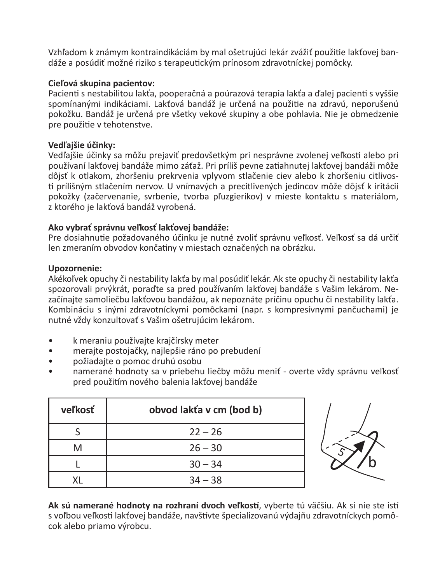Vzhľadom k známym kontraindikáciám by mal ošetrujúci lekár zvážiť použitie lakťovej bandáže a posúdiť možné riziko s terapeutickým prínosom zdravotníckej pomôcky.

## **Cieľová skupina pacientov:**

Pacienti s nestabilitou lakťa, pooperačná a poúrazová terapia lakťa a ďalej pacienti s vyššie spomínanými indikáciami. Lakťová bandáž je určená na použitie na zdravú, neporušenú pokožku. Bandáž je určená pre všetky vekové skupiny a obe pohlavia. Nie je obmedzenie pre použitie v tehotenstve.

## **Vedľajšie účinky:**

Vedľajšie účinky sa môžu prejaviť predovšetkým pri nesprávne zvolenej veľkosti alebo pri používaní lakťovej bandáže mimo záťaž. Pri príliš pevne zatiahnutej lakťovej bandáži môže dôjsť k otlakom, zhoršeniu prekrvenia vplyvom stlačenie ciev alebo k zhoršeniu citlivosti prílišným stlačením nervov. U vnímavých a precitlivených jedincov môže dôjsť k iritácii pokožky (začervenanie, svrbenie, tvorba pľuzgierikov) v mieste kontaktu s materiálom, z ktorého je lakťová bandáž vyrobená.

## **Ako vybrať správnu veľkosť lakťovej bandáže:**

Pre dosiahnutie požadovaného účinku je nutné zvoliť správnu veľkosť. Veľkosť sa dá určiť len zmeraním obvodov končatiny v miestach označených na obrázku.

#### **Upozornenie:**

Akékoľvek opuchy či nestability lakťa by mal posúdiť lekár. Ak ste opuchy či nestability lakťa spozorovali prvýkrát, poraďte sa pred používaním lakťovej bandáže s Vašim lekárom. Nezačínajte samoliečbu lakťovou bandážou, ak nepoznáte príčinu opuchu či nestability lakťa. Kombináciu s inými zdravotníckymi pomôckami (napr. s kompresívnymi pančuchami) je nutné vždy konzultovať s Vašim ošetrujúcim lekárom.

- k meraniu používajte krajčírsky meter
- merajte postojačky, najlepšie ráno po prebudení
- požiadajte o pomoc druhú osobu
- namerané hodnoty sa v priebehu liečby môžu meniť overte vždy správnu veľkosť pred použitím nového balenia lakťovej bandáže

| veľkosť | obvod lakťa v cm (bod b) |
|---------|--------------------------|
|         | $22 - 26$                |
| M       | $26 - 30$                |
|         | $30 - 34$                |
| ΧI      | $34 - 38$                |



**Ak sú namerané hodnoty na rozhraní dvoch veľkostí**, vyberte tú väčšiu. Ak si nie ste istí s voľbou veľkosti lakťovej bandáže, navštívte špecializovanú výdajňu zdravotníckych pomôcok alebo priamo výrobcu.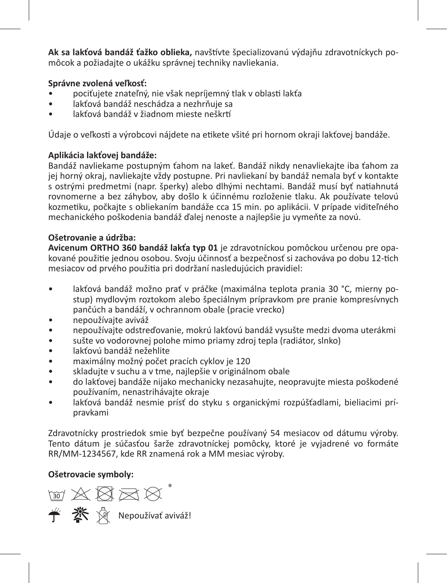**Ak sa lakťová bandáž ťažko oblieka,** navštívte špecializovanú výdajňu zdravotníckych pomôcok a požiadajte o ukážku správnej techniky navliekania.

## **Správne zvolená veľkosť:**

- pociťujete znateľný, nie však nepríjemný tlak v oblasti lakťa
- lakťová bandáž neschádza a nezhrňuje sa
- lakťová bandáž v žiadnom mieste neškrtí

Údaje o veľkosti a výrobcovi nájdete na etikete všité pri hornom okraji lakťovej bandáže.

## **Aplikácia lakťovej bandáže:**

Bandáž navliekame postupným ťahom na lakeť. Bandáž nikdy nenavliekajte iba ťahom za jej horný okraj, navliekajte vždy postupne. Pri navliekaní by bandáž nemala byť v kontakte s ostrými predmetmi (napr. šperky) alebo dlhými nechtami. Bandáž musí byť natiahnutá rovnomerne a bez záhybov, aby došlo k účinnému rozloženie tlaku. Ak používate telovú kozmetiku, počkajte s obliekaním bandáže cca 15 min. po aplikácii. V prípade viditeľného mechanického poškodenia bandáž ďalej nenoste a najlepšie ju vymeňte za novú.

## **Ošetrovanie a údržba:**

**Avicenum ORTHO 360 bandáž lakťa typ 01** je zdravotníckou pomôckou určenou pre opakované použitie jednou osobou. Svoju účinnosť a bezpečnosť si zachováva po dobu 12-tich mesiacov od prvého použitia pri dodržaní nasledujúcich pravidiel:

- lakťová bandáž možno prať v práčke (maximálna teplota prania 30 °C, mierny postup) mydlovým roztokom alebo špeciálnym prípravkom pre pranie kompresívnych pančúch a bandáží, v ochrannom obale (pracie vrecko)
- nepoužívajte aviváž
- nepoužívajte odstreďovanie, mokrú lakťovú bandáž vysušte medzi dvoma uterákmi
- sušte vo vodorovnej polohe mimo priamy zdroj tepla (radiátor, slnko)
- lakťovú bandáž nežehlite
- maximálny možný počet pracích cyklov je 120
- skladujte v suchu a v tme, najlepšie v originálnom obale
- do lakťovej bandáže nijako mechanicky nezasahujte, neopravujte miesta poškodené používaním, nenastrihávajte okraje
- lakťová bandáž nesmie prísť do styku s organickými rozpúšťadlami, bieliacimi prípravkami

Zdravotnícky prostriedok smie byť bezpečne používaný 54 mesiacov od dátumu výroby. Tento dátum je súčasťou šarže zdravotníckej pomôcky, ktoré je vyjadrené vo formáte RR/MM-1234567, kde RR znamená rok a MM mesiac výroby.

## **Ošetrovacie symboly:**

≥ 交叉运动 Nepoužívať aviváž!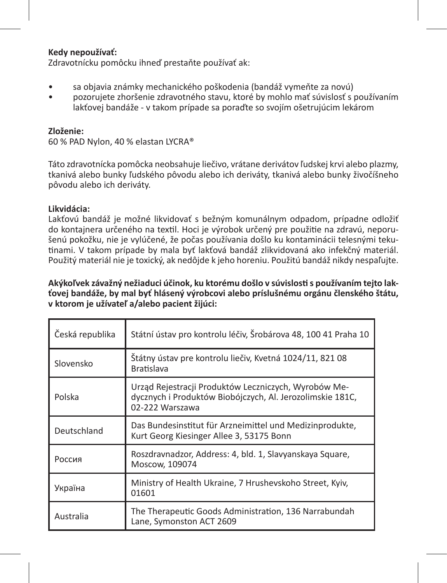### **Kedy nepoužívať:**

Zdravotnícku pomôcku ihneď prestaňte používať ak:

- sa objavia známky mechanického poškodenia (bandáž vymeňte za novú)
- pozorujete zhoršenie zdravotného stavu, ktoré by mohlo mať súvislosť s používaním lakťovej bandáže - v takom prípade sa poraďte so svojím ošetrujúcim lekárom

### **Zloženie:**

60 % PAD Nylon, 40 % elastan LYCRA®

Táto zdravotnícka pomôcka neobsahuje liečivo, vrátane derivátov ľudskej krvi alebo plazmy, tkanivá alebo bunky ľudského pôvodu alebo ich deriváty, tkanivá alebo bunky živočíšneho pôvodu alebo ich deriváty.

#### **Likvidácia:**

Lakťovú bandáž je možné likvidovať s bežným komunálnym odpadom, prípadne odložiť do kontajnera určeného na textil. Hoci je výrobok určený pre použitie na zdravú, neporušenú pokožku, nie je vylúčené, že počas používania došlo ku kontaminácii telesnými tekutinami. V takom prípade by mala byť lakťová bandáž zlikvidovaná ako infekčný materiál. Použitý materiál nie je toxický, ak nedôjde k jeho horeniu. Použitú bandáž nikdy nespaľujte.

### **Akýkoľvek závažný nežiaduci účinok, ku ktorému došlo v súvislosti s používaním tejto lakťovej bandáže, by mal byť hlásený výrobcovi alebo príslušnému orgánu členského štátu, v ktorom je užívateľ a/alebo pacient žijúci:**

| Česká republika | Státní ústav pro kontrolu léčiv, Šrobárova 48, 100 41 Praha 10                                                                       |
|-----------------|--------------------------------------------------------------------------------------------------------------------------------------|
| Slovensko       | Štátny ústav pre kontrolu liečiv, Kvetná 1024/11, 821 08<br><b>Bratislava</b>                                                        |
| Polska          | Urząd Rejestracji Produktów Leczniczych, Wyrobów Me-<br>dycznych i Produktów Biobójczych, Al. Jerozolimskie 181C,<br>02-222 Warszawa |
| Deutschland     | Das Bundesinstitut für Arzneimittel und Medizinprodukte,<br>Kurt Georg Kiesinger Allee 3, 53175 Bonn                                 |
| Россия          | Roszdravnadzor, Address: 4, bld. 1, Slavyanskaya Square,<br>Moscow, 109074                                                           |
| Україна         | Ministry of Health Ukraine, 7 Hrushevskoho Street, Kyiv,<br>01601                                                                    |
| Australia       | The Therapeutic Goods Administration, 136 Narrabundah<br>Lane, Symonston ACT 2609                                                    |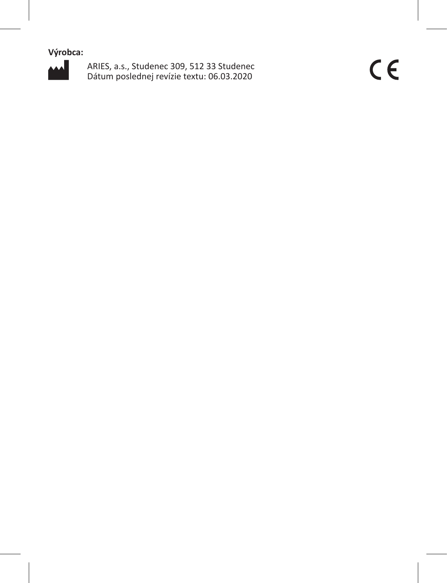**Výrobca:**



ARIES, a.s., Studenec 309, 512 33 Studenec Dátum poslednej revízie textu: 06.03.2020

 $C \in$